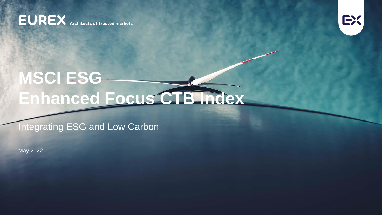**EUREX** Architects of trusted markets



# **MSCI ESG Enhanced Focus CTB Index**

Integrating ESG and Low Carbon

May 2022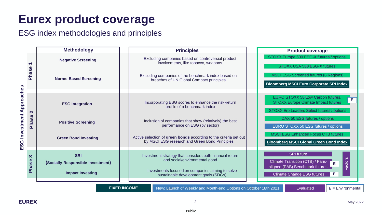# **Eurex product coverage**

ESG index methodologies and principles

|                                                                                                                             | <b>Methodology</b>                                                         | <b>Principles</b>                                                                                                                                                                     | <b>Product coverage</b>                                                                                                                      |  |  |  |  |  |  |  |  |  |
|-----------------------------------------------------------------------------------------------------------------------------|----------------------------------------------------------------------------|---------------------------------------------------------------------------------------------------------------------------------------------------------------------------------------|----------------------------------------------------------------------------------------------------------------------------------------------|--|--|--|--|--|--|--|--|--|
| $\blacktriangledown$<br>Phase<br><b>SG Investment Approaches</b><br>$\mathbf{N}$<br>Phase<br>ш                              | <b>Negative Screening</b>                                                  | Excluding companies based on controversial product<br>involvements, like tobacco, weapons                                                                                             | STOXX Europe 600 ESG-X futures / options<br>STOXX USA 500 ESG-X futures                                                                      |  |  |  |  |  |  |  |  |  |
|                                                                                                                             | <b>Norms-Based Screening</b>                                               | Excluding companies of the benchmark index based on<br>breaches of UN Global Compact principles                                                                                       | <b>MSCI ESG Screened futures (6 Regions)</b><br><b>Bloomberg MSCI Euro Corporate SRI Index</b>                                               |  |  |  |  |  |  |  |  |  |
|                                                                                                                             | <b>ESG Integration</b>                                                     | Incorporating ESG scores to enhance the risk-return<br>profile of a benchmark index                                                                                                   | EURO STOXX 50 Low Carbon futures,<br>E<br><b>STOXX Europe Climate Impact futures</b><br>STOXX Erp Leaders Select futures / options           |  |  |  |  |  |  |  |  |  |
|                                                                                                                             | <b>Positive Screening</b>                                                  | Inclusion of companies that show (relatively) the best<br>performance on ESG (by sector)                                                                                              | DAX 50 ESG futures / options<br>EURO STOXX 50 ESG futures / options                                                                          |  |  |  |  |  |  |  |  |  |
|                                                                                                                             | <b>Green Bond Investing</b>                                                | Active selection of green bonds according to the criteria set out<br>by MSCI ESG research and Green Bond Principles                                                                   | <b>MSCI ESG Enhanced Focus CTB futures</b><br><b>Bloomberg MSCI Global Green Bond Index</b>                                                  |  |  |  |  |  |  |  |  |  |
| က<br><b>Phase</b>                                                                                                           | <b>SRI</b><br>(Socially Responsible Investment)<br><b>Impact Investing</b> | Investment strategy that considers both financial return<br>and social/environmental good<br>Investments focused on companies aiming to solve<br>sustainable development goals (SDGs) | <b>SRI</b> future<br>Factors<br>Climate Transition (CTB) / Paris-<br>E<br>aligned (PAB) Benchmark futures<br>Е<br>Climate Change ESG futures |  |  |  |  |  |  |  |  |  |
| <b>FIXED INCOME</b><br>New: Launch of Weekly and Month-end Options on October 18th 2021<br>$E =$ Environmental<br>Evaluated |                                                                            |                                                                                                                                                                                       |                                                                                                                                              |  |  |  |  |  |  |  |  |  |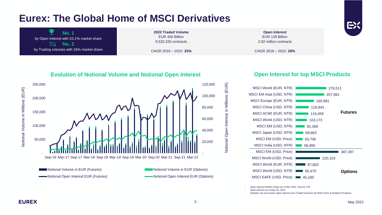### **Eurex: The Global Home of MSCI Derivatives**

**No. 1** by Open Interest with 53.1% market share **No. 2**  $\sum$ by Trading volumes with 26% market share

**2022 Traded Volume**  EUR 456 Billion 9,532,320 contracts

CAGR 2016 – 2022: **33%**

**Open Interest** EUR 139 Billion 2.92 million contracts

CAGR 2016 – 2022: **28%**

#### **Evolution of Notional Volume and Notional Open Interest**



### **Open Interest for top MSCI Products**



- *Open Interest Market Share as of Mar 2022, Source: FIA*

- *Open interest as of May 30, 2022*

- *Statistics do not include Open Interest and Traded Volumes for MSCI ESG & Dividend Products*

Notional Volume in Millions (EUR)

Notional Open Interest in Millions (EUR)

Notional Open Interest in Millions (EUR)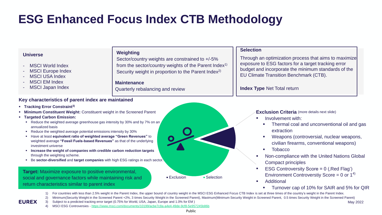# **ESG Enhanced Focus Index CTB Methodology**

| <b>Universe</b>                                    | <b>Weighting</b>                                                  | <b>Selection</b>                                      |  |  |  |  |  |  |  |  |  |
|----------------------------------------------------|-------------------------------------------------------------------|-------------------------------------------------------|--|--|--|--|--|--|--|--|--|
| - MSCI World Index                                 | Sector/country weights are constrained to +/-5%                   | Through an optimization process that aims to maximize |  |  |  |  |  |  |  |  |  |
| - MSCI Europe Index                                | from the sector/country weights of the Parent Index <sup>1)</sup> | exposure to ESG factors for a target tracking error   |  |  |  |  |  |  |  |  |  |
| - MSCI USA Index                                   | Security weight in proportion to the Parent Index <sup>2)</sup>   | budget and incorporate the minimum standards of the   |  |  |  |  |  |  |  |  |  |
| - MSCI EM Index                                    | <b>Maintenance</b>                                                | EU Climate Transition Benchmark (CTB).                |  |  |  |  |  |  |  |  |  |
| - MSCI Japan Index                                 | Quarterly rebalancing and review                                  | <b>Index Type Net Total return</b>                    |  |  |  |  |  |  |  |  |  |
| Key characteristics of parent index are maintained |                                                                   |                                                       |  |  |  |  |  |  |  |  |  |

- **Tracking Error Constraint3)**
- **Minimum Constituent Weight: Constituent weight in the Screened Parent**
- **Targeted Carbon Emission:**
	- Reduce the weighted average greenhouse gas intensity by 30% and by 7% on an annualized basis
	- Reduce the weighted average potential emissions intensity by 30%
	- Have at least **equivalent ratio of weighted average "Green Revenues"** to weighted average **"Fossil Fuels-based Revenues"** as that of the underlying investment universe
	- **Increase the weight of companies with credible carbon reduction targets**  through the weighting scheme.
	- Be **sector-diversified** and **target companies** with high ESG ratings in each sector.

**Target:** Maximize exposure to positive environmental, social and governance factors while maintaining risk and return characteristics similar to parent index



**Exclusion Criteria** (more details next slide)

- **■** Involvement with:
	- Thermal coal and unconventional oil and gas extraction
	- Weapons (controversial, nuclear weapons, civilian firearms, conventional weapons)
	- **Tobacco**
- Non-compliance with the United Nations Global Compact principles
- **ESG Controversity Score = 0 (, Red Flag')** Environment Controverstiy Score = 0 or  $1^{4}$ )
- **Additional** 
	- Turnover cap of 10% for SAIR and 5% for QIR
- 1) For countries with less than 2.5% weight in the Parent Index, the upper bound of country weight in the MSCI ESG Enhanced Focus CTB Index is set at three times of the country's weight in the Parent Index.
- 2) Minimum(Security Weight in the Screened Parent +2%, 3 times Security Weight in the Screened Parent), Maximum(Minimum Security Weight in Screened Parent, 0.5 times Security Weight in the Screened Parent)

3) Subject to a predicted tracking error target (0.75% for World, USA, Japan, Europe and 1.0% for EM ) 4) MSCI ESG Controversies - <https://www.msci.com/documents/10199/acbe7c8a-a4e4-49de-9cf8-5e957245b86b>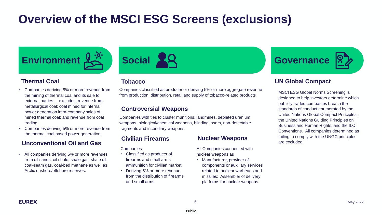### **Overview of the MSCI ESG Screens (exclusions)**



#### **Thermal Coal**

- Companies deriving 5% or more revenue from the mining of thermal coal and its sale to external parties. It excludes: revenue from metallurgical coal; coal mined for internal power generation intra-company sales of mined thermal coal; and revenue from coal trading.
- Companies deriving 5% or more revenue from the thermal coal based power generation.

#### **Unconventional Oil and Gas**

• All companies deriving 5% or more revenues from oil sands, oil shale, shale gas, shale oil, coal-seam gas, coal-bed methane as well as Arctic onshore/offshore reserves.



#### **Tobacco**

Companies classified as producer or deriving 5% or more aggregate revenue from production, distribution, retail and supply of tobacco-related products

#### **Controversial Weapons**

Companies with ties to cluster munitions, landmines, depleted uranium weapons, biological/chemical weapons, blinding lasers, non-detectable fragments and incendiary weapons

**Companies** 

- Classified as producer of firearms and small arms ammunition for civilian market
- Deriving 5% or more revenue from the distribution of firearms and small arms

#### **Civilian Firearms Nuclear Weapons**

All Companies connected with nuclear weapons as

• Manufacturer, provider of components or auxiliary services related to nuclear warheads and missiles; Assembler of delivery platforms for nuclear weapons



#### **UN Global Compact**

MSCI ESG Global Norms Screening is designed to help investors determine which publicly traded companies breach the standards of conduct enumerated by the United Nations Global Compact Principles, the United Nations Guiding Principles on Business and Human Rights, and the ILO Conventions. All companies determined as failing to comply with the UNGC principles are excluded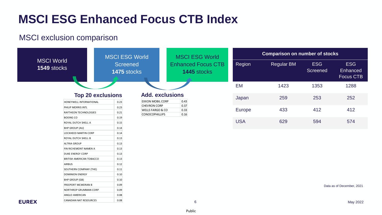### MSCI exclusion comparison

FREEPORT MCMORAN B 0.09 NORTHROP GRUMMAN CORP 0.09 ANGLO AMERICAN 0.08 CANADIAN NAT RESOURCES 0.08

**EUREX** 



May 2022

6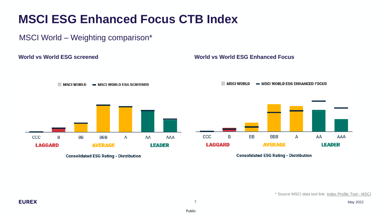### MSCI World – Weighting comparison\*

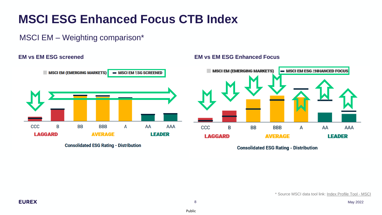### MSCI EM – Weighting comparison\*



**Consolidated ESG Rating - Distribution** 

#### **EM vs EM ESG screened EM vs EM ESG Enhanced Focus**



**Consolidated ESG Rating - Distribution**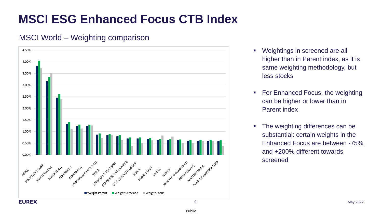### MSCI World – Weighting comparison



- Weightings in screened are all higher than in Parent index, as it is same weighting methodology, but less stocks
- For Enhanced Focus, the weighting can be higher or lower than in Parent index
- **The weighting differences can be** substantial: certain weights in the Enhanced Focus are between -75% and +200% different towards screened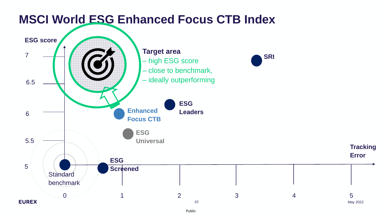

Public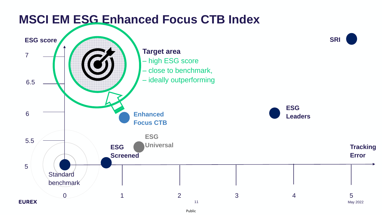

Public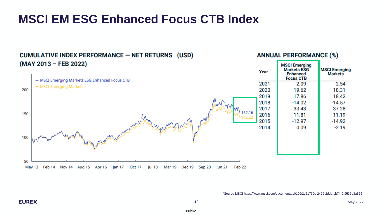#### **ANNUAL PERFORMANCE (%) CUMULATIVE INDEX PERFORMANCE - NET RETURNS (USD)** (MAY 2013 - FEB 2022) **MSCI Emerging Markets ESG MSCI Emerging** Year **Enhanced Markets Focus CTB** - MSCI Emerging Markets ESG Enhanced Focus CTB 2021  $-2.09$  $-2.54$ - MSCI Emerging Markets 200 2020 19.62 18.31 2019 17.86 18.42 2018  $-14.02$  $-14.57$ 2017 38.43 37.28 150 2016 11.81 11.19 2015  $-12.97$  $-14.92$ 2014 0.09  $-2.19$ 100 50 May 13 Feb 14 Nov 14 Aug 15 Jul 18 Sep 20 Apr 16 Jan 17 **Oct 17** Mar 19 **Dec 19 lun 21** Feb 22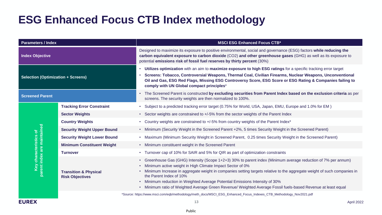### **ESG Enhanced Focus CTB Index methodology**

| <b>Parameters / Index</b>                             |                                                            | <b>MSCI ESG Enhanced Focus CTB*</b>                                                                                                                                                                                                                                                                               |  |  |  |  |  |  |  |
|-------------------------------------------------------|------------------------------------------------------------|-------------------------------------------------------------------------------------------------------------------------------------------------------------------------------------------------------------------------------------------------------------------------------------------------------------------|--|--|--|--|--|--|--|
| <b>Index Objective</b>                                |                                                            | Designed to maximize its exposure to positive environmental, social and governance (ESG) factors while reducing the<br>carbon equivalent exposure to carbon dioxide (CO2) and other greenhouse gases (GHG) as well as its exposure to<br>potential emissions risk of fossil fuel reserves by thirty percent (30%) |  |  |  |  |  |  |  |
| <b>Selection (Optimization + Screens)</b>             |                                                            | Utilizes optimization with an aim to maximize exposure to high ESG ratings for a specific tracking error target<br>Screens: Tobacco, Controversial Weapons, Thermal Coal, Civilian Firearms, Nuclear Weapons, Unconventional                                                                                      |  |  |  |  |  |  |  |
|                                                       |                                                            | Oil and Gas, ESG Red Flags, Missing ESG Controversy Score, ESG Score or ESG Rating & Companies failing to<br>comply with UN Global compact principles*                                                                                                                                                            |  |  |  |  |  |  |  |
| <b>Screened Parent</b>                                |                                                            | The Screened Parent is constructed by excluding securities from Parent Index based on the exclusion criteria as per<br>$\bullet$<br>screens. The security weights are then normalized to 100%.                                                                                                                    |  |  |  |  |  |  |  |
|                                                       | <b>Tracking Error Constraint</b>                           | Subject to a predicted tracking error target (0.75% for World, USA, Japan, EMU, Europe and 1.0% for EM)                                                                                                                                                                                                           |  |  |  |  |  |  |  |
|                                                       | <b>Sector Weights</b>                                      | • Sector weights are constrained to +/-5% from the sector weights of the Parent Index                                                                                                                                                                                                                             |  |  |  |  |  |  |  |
|                                                       | <b>Country Weights</b>                                     | Country weights are constrained to +/-5% from country weights of the Parent Index*                                                                                                                                                                                                                                |  |  |  |  |  |  |  |
|                                                       | <b>Security Weight Upper Bound</b>                         | . Minimum (Security Weight in the Screened Parent +2%, 5 times Security Weight in the Screened Parent)                                                                                                                                                                                                            |  |  |  |  |  |  |  |
|                                                       | <b>Security Weight Lower Bound</b>                         | Maximum (Minimum Security Weight in Screened Parent, 0.25 times Security Weight in the Screened Parent)<br>$\bullet$                                                                                                                                                                                              |  |  |  |  |  |  |  |
|                                                       | <b>Minimum Constituent Weight</b>                          | • Minimum constituent weight in the Screened Parent                                                                                                                                                                                                                                                               |  |  |  |  |  |  |  |
|                                                       | <b>Turnover</b>                                            | Turnover cap of 10% for SAIR and 5% for QIR as part of optimization constraints                                                                                                                                                                                                                                   |  |  |  |  |  |  |  |
|                                                       |                                                            | Greenhouse Gas (GHG) Intensity (Scope 1+2+3) 30% to parent index (Minimum average reduction of 7% per annum)<br>$\bullet$<br>Minimum active weight in High Climate Impact Sector of 0%                                                                                                                            |  |  |  |  |  |  |  |
| Key characteristics of<br>parent index are maintained | <b>Transition &amp; Physical</b><br><b>Risk Objectives</b> | Minimum Increase in aggregate weight in companies setting targets relative to the aggregate weight of such companies in<br>the Parent Index of 10%                                                                                                                                                                |  |  |  |  |  |  |  |
|                                                       |                                                            | Minimum reduction in Weighted Average Potential Emissions Intensity of 30%<br>$\bullet$                                                                                                                                                                                                                           |  |  |  |  |  |  |  |
|                                                       |                                                            | • Minimum ratio of Weighted Average Green Revenue/ Weighted Average Fossil fuels-based Revenue at least equal                                                                                                                                                                                                     |  |  |  |  |  |  |  |
|                                                       |                                                            | *Source: https://www.msci.com/eqb/methodology/meth_docs/MSCI_ESG_Enhanced_Focus_Indexes_CTB_Methodology_Nov2021.pdf                                                                                                                                                                                               |  |  |  |  |  |  |  |
| <b>EUREX</b>                                          |                                                            | 13<br>April 2022                                                                                                                                                                                                                                                                                                  |  |  |  |  |  |  |  |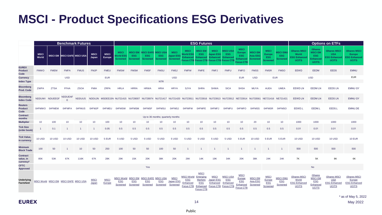### **MSCI - Product Specifications ESG Derivatives**

|                                                       | <b>Benchmark Futures</b> |                                       |                            |                |                      |                       |                                                    | <b>ESG Futures</b>                              |                                                      |                                                    |                                      |                                                                 |                                                                                  |                                                                                  |                                                                                                                                             |                                                                            |                                                      |                                                 |                                           |                                                                     | <b>Options on ETFs</b>                                                            |                                                                          |                                                                             |  |
|-------------------------------------------------------|--------------------------|---------------------------------------|----------------------------|----------------|----------------------|-----------------------|----------------------------------------------------|-------------------------------------------------|------------------------------------------------------|----------------------------------------------------|--------------------------------------|-----------------------------------------------------------------|----------------------------------------------------------------------------------|----------------------------------------------------------------------------------|---------------------------------------------------------------------------------------------------------------------------------------------|----------------------------------------------------------------------------|------------------------------------------------------|-------------------------------------------------|-------------------------------------------|---------------------------------------------------------------------|-----------------------------------------------------------------------------------|--------------------------------------------------------------------------|-----------------------------------------------------------------------------|--|
|                                                       | <b>MSCI</b><br>World     |                                       | MSCI EM MSCI EAFE MSCI USA |                | <b>MSCI</b><br>Japan | <b>MSCI</b><br>Europe | <b>MSCI</b><br><b>World ESG</b><br><b>Screened</b> | <b>MSCI EM</b><br><b>ESG</b><br><b>Screened</b> | <b>ISCI EAFE</b><br><b>ESG</b><br><b>Screened</b>    | <b>MSCI USA</b><br><b>ESG</b><br>Screened Screened | <b>MSCI</b><br><b>Japan ESG</b>      | <b>MSCI</b><br><b>Norld ESG</b><br>Enhanced<br><b>OCUS CTB</b>  | <b>MSCI EM</b><br><b>ESG</b><br><b>Enhanced</b><br><b>Focus CTB</b>              | <b>MSCI</b><br><b>Japan ESG</b><br><b>Enhanced</b><br><b>Focus CTB Focus CTI</b> | MSCI US/<br><b>ESG</b><br><b>Enhance</b>                                                                                                    | <b>MSCI</b><br><b>Europe</b><br><b>ESG</b><br>Enhanced<br><b>Focus CTE</b> | <b>MSCI EM</b><br><b>Asia ESG</b><br><b>Screened</b> | <b>MSCI</b><br><b>Europe</b><br>ESG<br>Screened | <b>MSCI EMI</b><br>ESG<br><b>Screened</b> | <b>iShares MSCI</b><br>World<br><b>ESG Enhanced</b><br><b>UCITS</b> | <b>iShares</b><br><b>MSCI EM</b><br><b>ESG</b><br><b>Enhanced</b><br><b>UCITS</b> | <b>iShares MSCI</b><br><b>USA</b><br><b>ESG Enhanced</b><br><b>UCITS</b> | <b>iShares MSCI</b><br><b>Europe</b><br><b>ESG Enhanced</b><br><b>UCITS</b> |  |
| <b>EUREX</b><br><b>Product</b><br>Code                | <b>FMWO</b>              | <b>FMEM</b>                           | <b>FMFA</b>                | <b>FMUS</b>    | <b>FMJP</b>          | <b>FMEU</b>           | <b>FMSW</b>                                        | <b>FMSM</b>                                     | <b>FMSF</b>                                          | <b>FMSU</b>                                        | <b>FMSJ</b>                          | <b>FMFW</b>                                                     | <b>FMFE</b>                                                                      | <b>FMFJ</b>                                                                      | <b>FMFU</b>                                                                                                                                 | <b>FMFO</b>                                                                | <b>FMSS</b>                                          | <b>FMSR</b>                                     | <b>FMSO</b>                               | <b>EEWD</b>                                                         | <b>EEDM</b>                                                                       | <b>EEDS</b>                                                              | <b>EMNU</b>                                                                 |  |
| <b>Currency</b>                                       |                          |                                       | <b>USD</b>                 |                |                      | <b>EUR</b>            |                                                    |                                                 |                                                      |                                                    | <b>USD</b>                           |                                                                 |                                                                                  |                                                                                  |                                                                                                                                             | <b>EUR</b>                                                                 | <b>USD</b>                                           | <b>EUR</b>                                      |                                           |                                                                     | <b>USD</b>                                                                        |                                                                          | <b>EUR</b>                                                                  |  |
| <b>Index Type</b>                                     |                          |                                       |                            |                |                      |                       |                                                    |                                                 |                                                      | <b>NTR</b>                                         |                                      |                                                                 |                                                                                  |                                                                                  |                                                                                                                                             |                                                                            |                                                      |                                                 |                                           |                                                                     |                                                                                   |                                                                          |                                                                             |  |
| <b>Bloomberg</b><br><b>Prod. Code</b>                 | <b>ZWPA</b>              | <b>ZTSA</b>                           | <b>FFAA</b>                | <b>ZSOA</b>    | <b>FMIA</b>          | <b>ZRPA</b>           | <b>HRLA</b>                                        | <b>HRRA</b>                                     | <b>HRWA</b>                                          | <b>HRIA</b>                                        | <b>HRYA</b>                          | <b>SJYA</b>                                                     | <b>SHRA</b>                                                                      | <b>SHWA</b>                                                                      | <b>SICA</b>                                                                                                                                 | <b>SHSA</b>                                                                | <b>MUYA</b>                                          | <b>AUEA</b>                                     | <b>UMEA</b>                               | <b>EEWD LN</b>                                                      | <b>EEDM LN</b>                                                                    | <b>EEDS LN</b>                                                           | <b>EMNU GY</b>                                                              |  |
| <b>Bloomberg</b><br><b>Index Code</b>                 |                          | NDDUWI NDUEEGF                        | <b>NDDUEAF</b><br>E        |                |                      |                       |                                                    |                                                 |                                                      |                                                    |                                      |                                                                 |                                                                                  |                                                                                  | NDDUUS NDDUJN MSDEE15N NU721415 NU728007 NU728974 NU721417 NU721420 NU723911 NU723916 NU723913 NU723912 NE723914 NU733561 NE721416 NE721421 |                                                                            |                                                      |                                                 |                                           | <b>EEWD LN</b>                                                      | <b>EEDM LN</b>                                                                    | <b>EEDS LN</b>                                                           | <b>EMNU GY</b>                                                              |  |
| <b>Reuters</b><br><b>Product</b><br>Code              | 0#FMWO                   | 0#FMEM                                | 0#FMFA                     | 0#FMUS         | 0#FMJP               | 0#FMEU                | 0#FMSW                                             | 0#FMSM                                          | 0#FMSF                                               | 0#FMSU                                             | 0#FMSJ                               | 0#FMFW                                                          | 0#FMEE                                                                           | 0#FMFJ                                                                           | 0#FMFU                                                                                                                                      | 0#FMFO                                                                     | 0#FMSS                                               | 0#FMSR                                          | 0#FMSO                                    | EEWD.L                                                              | EEDM.L                                                                            | EEDS.L                                                                   | EMNU.DE                                                                     |  |
| <b>Contract</b><br>months                             |                          |                                       |                            |                |                      |                       |                                                    |                                                 |                                                      | Up to 36 months; quarterly months                  |                                      |                                                                 |                                                                                  |                                                                                  |                                                                                                                                             |                                                                            |                                                      |                                                 |                                           |                                                                     |                                                                                   |                                                                          |                                                                             |  |
| <b>Multiplier</b>                                     | 10 <sup>°</sup>          | 100                                   | 10 <sup>°</sup>            | 10             | 10                   | 100                   | 10                                                 | 10                                              | 10                                                   | 10 <sup>°</sup>                                    | 10                                   | 10                                                              | 10                                                                               | 10                                                                               | 10                                                                                                                                          | 10                                                                         | 20                                                   | 10                                              | 10                                        | 1000                                                                | 1000                                                                              | 1000                                                                     | 1000                                                                        |  |
| <b>Tick Size</b><br>(order book)                      |                          | 0.1                                   | $\overline{1}$             | $\overline{1}$ | $\overline{1}$       | 0.05                  | 0.5                                                | 0.5                                             | 0.5                                                  | 0.5                                                | 0.5                                  | 0.5                                                             | 0.5                                                                              | 0.5                                                                              | 0.5                                                                                                                                         | 0.5                                                                        | 0.5                                                  | 0.5                                             | 0.5                                       | 0.01                                                                | 0.01                                                                              | 0.01                                                                     | 0.01                                                                        |  |
| <b>Tick Value,</b><br>in currency                     | <b>10 USD</b>            | <b>10 USD</b>                         | <b>10 USD</b>              | <b>10 USD</b>  | <b>10 USD</b>        | 5 EUR                 | 5 USD                                              | 5 USD                                           | 5 USD                                                | 5 USD                                              | 5 USD                                | 5 USD                                                           | 5 USD                                                                            | 5 USD                                                                            | 5 USD                                                                                                                                       | 5 EUR                                                                      | <b>10 USD</b>                                        | 5 EUR                                           | 5 EUR                                     | <b>10 USD</b>                                                       | <b>10 USD</b>                                                                     | <b>10 USD</b>                                                            | <b>10 EUR</b>                                                               |  |
| <b>Minimum</b><br><b>Block Trade</b>                  | 100                      | 50                                    |                            | 10             | 50                   | 250                   | 100                                                | 50                                              | 50                                                   | 100                                                | 50                                   |                                                                 |                                                                                  |                                                                                  |                                                                                                                                             | $\overline{1}$                                                             |                                                      | $\overline{1}$                                  |                                           | 500                                                                 | 500                                                                               | 500                                                                      | 500                                                                         |  |
| <b>Contract</b><br>value, in<br>currency <sup>*</sup> | 85K                      | 53K                                   | 67K                        | 116K           | 67K                  | 28K                   | 29K                                                | 15K                                             | 20K                                                  | 38K                                                | 20K                                  | 26K                                                             | 14K                                                                              | 19K                                                                              | 34K                                                                                                                                         | 20K                                                                        | 38K                                                  | 24K                                             | 24K                                       | 7K                                                                  | 5K                                                                                | 8K                                                                       | 6K                                                                          |  |
| <b>CFTC</b><br><b>Approved</b>                        |                          |                                       |                            |                |                      |                       |                                                    |                                                 | Yes                                                  |                                                    |                                      |                                                                 |                                                                                  |                                                                                  |                                                                                                                                             |                                                                            |                                                      |                                                 |                                           |                                                                     | No                                                                                |                                                                          |                                                                             |  |
| Underlying<br><b>Factsheet</b>                        |                          | MSCI World MSCI EM MSCI EAFE MSCI USA |                            |                | <b>MSCI</b><br>Japan | <b>MSC</b><br>Europe  | <b>MSCI World</b><br><b>ESG</b><br>Screened        | <b>ESG</b><br>Screened                          | MSCI EM MSCI EAFE MSCI USA<br><b>ESG</b><br>Screened | <b>ESG</b><br>Screened                             | <b>MSCI</b><br>Japan ESG<br>Screened | <b>MSCI World</b><br><b>ESG</b><br>Enhanced<br><b>Focus CTB</b> | <b>MSCI</b><br>Emerging<br><b>Markets</b><br>ESG<br>Enhanced<br><b>Focus CTB</b> | <b>MSCI</b><br>Japan ESG<br>Enhanced<br>Focus CTB Focus CTB                      | <b>MSCI USA</b><br><b>ESG</b><br>Enhanced                                                                                                   | <b>MSCI</b><br>Europe<br><b>ESG</b><br>Enhanced<br>Focus CTB               | <b>MSCI EM</b><br>Asia ESG<br>Screened               | <b>MSC</b><br>Europe<br>ESG<br><b>Screened</b>  | <b>MSCI EMU</b><br><b>ESG</b><br>Screened | <b>iShares MSC</b><br>World<br><b>ESG Enhanced</b><br><b>UCITS</b>  | <b>iShares</b><br><b>MSCI EM</b><br><b>ESG</b><br>Enhanced<br><b>UCITS</b>        | <b>iShares MSCI</b><br><b>USA</b><br><b>ESG Enhanced</b><br><b>UCITS</b> | <b>iShares MSCI</b><br>Europe<br><b>ESG Enhanced</b><br><b>UCITS</b>        |  |
|                                                       |                          |                                       |                            |                |                      |                       |                                                    |                                                 |                                                      |                                                    |                                      |                                                                 |                                                                                  |                                                                                  |                                                                                                                                             |                                                                            |                                                      |                                                 |                                           |                                                                     |                                                                                   |                                                                          | * as of May 5, 202                                                          |  |

*\** as of May 5, 2022 14 May 2022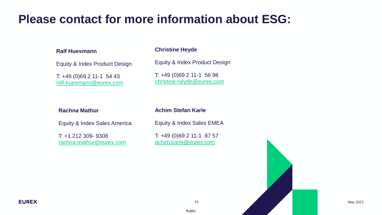### **Please contact for more information about ESG:**

#### **Ralf Huesmann**

Equity & Index Product Design

T: +49 (0)69 2 11-1 54 43 [ralf.huesmann@eurex.com](mailto:christine.heyde@eurex.com)

#### **Christine Heyde**

Equity & Index Product Design

T: +49 (0)69 2 11-1 56 98 [christine.heyde@eurex.com](mailto:ralf.huesmann@eurexchange.com)

#### **Rachna Mathur**

**Achim Stefan Karle**

Equity & Index Sales America

T: +1 212 309- 9308 [rachna.mathur@eurex.com](mailto:rachna.mathur@eurex.com) Equity & Index Sales EMEA

T: +49 (0)69 2 11-1 87 57 [achim.karle@eurex.com](mailto:achim.karle@eurex.com)